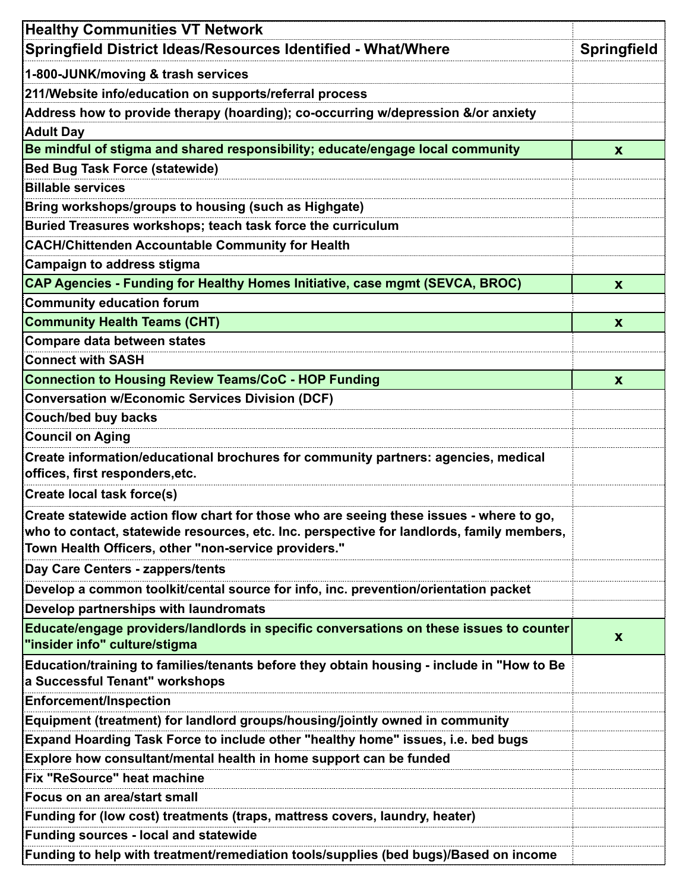| <b>Healthy Communities VT Network</b>                                                                                       |                    |
|-----------------------------------------------------------------------------------------------------------------------------|--------------------|
| Springfield District Ideas/Resources Identified - What/Where                                                                | <b>Springfield</b> |
| 1-800-JUNK/moving & trash services                                                                                          |                    |
| 211/Website info/education on supports/referral process                                                                     |                    |
| Address how to provide therapy (hoarding); co-occurring w/depression &/or anxiety                                           |                    |
| <b>Adult Day</b>                                                                                                            |                    |
| Be mindful of stigma and shared responsibility; educate/engage local community                                              | $\mathbf{x}$       |
| Bed Bug Task Force (statewide)                                                                                              |                    |
| <b>Billable services</b>                                                                                                    |                    |
| Bring workshops/groups to housing (such as Highgate)                                                                        |                    |
| Buried Treasures workshops; teach task force the curriculum                                                                 |                    |
| <b>CACH/Chittenden Accountable Community for Health</b>                                                                     |                    |
| <b>Campaign to address stigma</b>                                                                                           |                    |
| CAP Agencies - Funding for Healthy Homes Initiative, case mgmt (SEVCA, BROC)                                                | $\mathbf{x}$       |
| <b>Community education forum</b>                                                                                            |                    |
| <b>Community Health Teams (CHT)</b>                                                                                         | $\mathbf{x}$       |
| <b>Compare data between states</b>                                                                                          |                    |
| <b>Connect with SASH</b>                                                                                                    |                    |
| <b>Connection to Housing Review Teams/CoC - HOP Funding</b>                                                                 | X                  |
| <b>Conversation w/Economic Services Division (DCF)</b>                                                                      |                    |
| <b>Couch/bed buy backs</b>                                                                                                  |                    |
| <b>Council on Aging</b>                                                                                                     |                    |
| Create information/educational brochures for community partners: agencies, medical                                          |                    |
| offices, first responders, etc.                                                                                             |                    |
| <b>Create local task force(s)</b>                                                                                           |                    |
| Create statewide action flow chart for those who are seeing these issues - where to go,                                     |                    |
| who to contact, statewide resources, etc. Inc. perspective for landlords, family members,                                   |                    |
| Town Health Officers, other "non-service providers."                                                                        |                    |
| Day Care Centers - zappers/tents                                                                                            |                    |
| Develop a common toolkit/cental source for info, inc. prevention/orientation packet                                         |                    |
| Develop partnerships with laundromats                                                                                       |                    |
| Educate/engage providers/landlords in specific conversations on these issues to counter<br>"insider info" culture/stigma    | $\mathbf{x}$       |
| Education/training to families/tenants before they obtain housing - include in "How to Be<br>a Successful Tenant" workshops |                    |
| <b>Enforcement/Inspection</b>                                                                                               |                    |
| Equipment (treatment) for landlord groups/housing/jointly owned in community                                                |                    |
| Expand Hoarding Task Force to include other "healthy home" issues, i.e. bed bugs                                            |                    |
| Explore how consultant/mental health in home support can be funded                                                          |                    |
| Fix "ReSource" heat machine                                                                                                 |                    |
| Focus on an area/start small                                                                                                |                    |
| Funding for (low cost) treatments (traps, mattress covers, laundry, heater)                                                 |                    |
| <b>Funding sources - local and statewide</b>                                                                                |                    |
| Funding to help with treatment/remediation tools/supplies (bed bugs)/Based on income                                        |                    |
|                                                                                                                             |                    |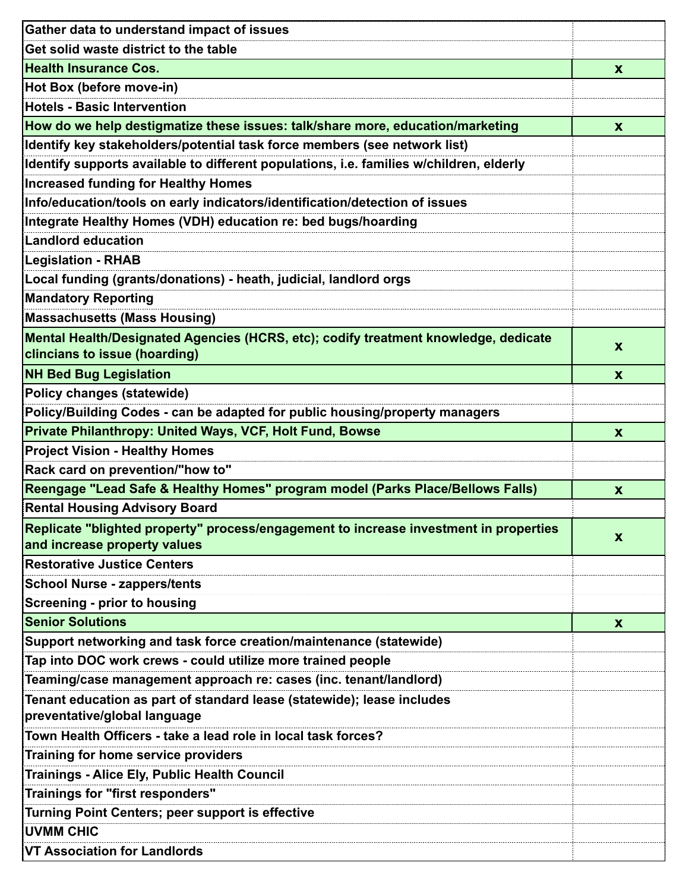| Get solid waste district to the table<br><b>Health Insurance Cos.</b><br>$\boldsymbol{\mathsf{X}}$<br>Hot Box (before move-in)<br><b>Hotels - Basic Intervention</b><br>How do we help destigmatize these issues: talk/share more, education/marketing<br>$\mathbf{x}$<br>Identify key stakeholders/potential task force members (see network list)<br>Identify supports available to different populations, i.e. families w/children, elderly<br><b>Increased funding for Healthy Homes</b><br>Info/education/tools on early indicators/identification/detection of issues<br>Integrate Healthy Homes (VDH) education re: bed bugs/hoarding<br>Landlord education<br><b>Legislation - RHAB</b><br>Local funding (grants/donations) - heath, judicial, landlord orgs<br><b>Mandatory Reporting</b><br>Massachusetts (Mass Housing)<br>Mental Health/Designated Agencies (HCRS, etc); codify treatment knowledge, dedicate<br>X<br>clincians to issue (hoarding)<br><b>NH Bed Bug Legislation</b><br>$\mathbf{x}$<br>Policy changes (statewide)<br>Policy/Building Codes - can be adapted for public housing/property managers |
|-------------------------------------------------------------------------------------------------------------------------------------------------------------------------------------------------------------------------------------------------------------------------------------------------------------------------------------------------------------------------------------------------------------------------------------------------------------------------------------------------------------------------------------------------------------------------------------------------------------------------------------------------------------------------------------------------------------------------------------------------------------------------------------------------------------------------------------------------------------------------------------------------------------------------------------------------------------------------------------------------------------------------------------------------------------------------------------------------------------------------------|
|                                                                                                                                                                                                                                                                                                                                                                                                                                                                                                                                                                                                                                                                                                                                                                                                                                                                                                                                                                                                                                                                                                                               |
|                                                                                                                                                                                                                                                                                                                                                                                                                                                                                                                                                                                                                                                                                                                                                                                                                                                                                                                                                                                                                                                                                                                               |
|                                                                                                                                                                                                                                                                                                                                                                                                                                                                                                                                                                                                                                                                                                                                                                                                                                                                                                                                                                                                                                                                                                                               |
|                                                                                                                                                                                                                                                                                                                                                                                                                                                                                                                                                                                                                                                                                                                                                                                                                                                                                                                                                                                                                                                                                                                               |
|                                                                                                                                                                                                                                                                                                                                                                                                                                                                                                                                                                                                                                                                                                                                                                                                                                                                                                                                                                                                                                                                                                                               |
|                                                                                                                                                                                                                                                                                                                                                                                                                                                                                                                                                                                                                                                                                                                                                                                                                                                                                                                                                                                                                                                                                                                               |
|                                                                                                                                                                                                                                                                                                                                                                                                                                                                                                                                                                                                                                                                                                                                                                                                                                                                                                                                                                                                                                                                                                                               |
|                                                                                                                                                                                                                                                                                                                                                                                                                                                                                                                                                                                                                                                                                                                                                                                                                                                                                                                                                                                                                                                                                                                               |
|                                                                                                                                                                                                                                                                                                                                                                                                                                                                                                                                                                                                                                                                                                                                                                                                                                                                                                                                                                                                                                                                                                                               |
|                                                                                                                                                                                                                                                                                                                                                                                                                                                                                                                                                                                                                                                                                                                                                                                                                                                                                                                                                                                                                                                                                                                               |
|                                                                                                                                                                                                                                                                                                                                                                                                                                                                                                                                                                                                                                                                                                                                                                                                                                                                                                                                                                                                                                                                                                                               |
|                                                                                                                                                                                                                                                                                                                                                                                                                                                                                                                                                                                                                                                                                                                                                                                                                                                                                                                                                                                                                                                                                                                               |
|                                                                                                                                                                                                                                                                                                                                                                                                                                                                                                                                                                                                                                                                                                                                                                                                                                                                                                                                                                                                                                                                                                                               |
|                                                                                                                                                                                                                                                                                                                                                                                                                                                                                                                                                                                                                                                                                                                                                                                                                                                                                                                                                                                                                                                                                                                               |
|                                                                                                                                                                                                                                                                                                                                                                                                                                                                                                                                                                                                                                                                                                                                                                                                                                                                                                                                                                                                                                                                                                                               |
|                                                                                                                                                                                                                                                                                                                                                                                                                                                                                                                                                                                                                                                                                                                                                                                                                                                                                                                                                                                                                                                                                                                               |
|                                                                                                                                                                                                                                                                                                                                                                                                                                                                                                                                                                                                                                                                                                                                                                                                                                                                                                                                                                                                                                                                                                                               |
|                                                                                                                                                                                                                                                                                                                                                                                                                                                                                                                                                                                                                                                                                                                                                                                                                                                                                                                                                                                                                                                                                                                               |
|                                                                                                                                                                                                                                                                                                                                                                                                                                                                                                                                                                                                                                                                                                                                                                                                                                                                                                                                                                                                                                                                                                                               |
| Private Philanthropy: United Ways, VCF, Holt Fund, Bowse<br><b>X</b>                                                                                                                                                                                                                                                                                                                                                                                                                                                                                                                                                                                                                                                                                                                                                                                                                                                                                                                                                                                                                                                          |
| <b>Project Vision - Healthy Homes</b>                                                                                                                                                                                                                                                                                                                                                                                                                                                                                                                                                                                                                                                                                                                                                                                                                                                                                                                                                                                                                                                                                         |
| Rack card on prevention/"how to"                                                                                                                                                                                                                                                                                                                                                                                                                                                                                                                                                                                                                                                                                                                                                                                                                                                                                                                                                                                                                                                                                              |
| Reengage "Lead Safe & Healthy Homes" program model (Parks Place/Bellows Falls)<br>X                                                                                                                                                                                                                                                                                                                                                                                                                                                                                                                                                                                                                                                                                                                                                                                                                                                                                                                                                                                                                                           |
| <b>Rental Housing Advisory Board</b>                                                                                                                                                                                                                                                                                                                                                                                                                                                                                                                                                                                                                                                                                                                                                                                                                                                                                                                                                                                                                                                                                          |
| Replicate "blighted property" process/engagement to increase investment in properties                                                                                                                                                                                                                                                                                                                                                                                                                                                                                                                                                                                                                                                                                                                                                                                                                                                                                                                                                                                                                                         |
| X<br>and increase property values                                                                                                                                                                                                                                                                                                                                                                                                                                                                                                                                                                                                                                                                                                                                                                                                                                                                                                                                                                                                                                                                                             |
| <b>Restorative Justice Centers</b>                                                                                                                                                                                                                                                                                                                                                                                                                                                                                                                                                                                                                                                                                                                                                                                                                                                                                                                                                                                                                                                                                            |
| <b>School Nurse - zappers/tents</b>                                                                                                                                                                                                                                                                                                                                                                                                                                                                                                                                                                                                                                                                                                                                                                                                                                                                                                                                                                                                                                                                                           |
| Screening - prior to housing                                                                                                                                                                                                                                                                                                                                                                                                                                                                                                                                                                                                                                                                                                                                                                                                                                                                                                                                                                                                                                                                                                  |
| <b>Senior Solutions</b><br>$\mathbf{x}$                                                                                                                                                                                                                                                                                                                                                                                                                                                                                                                                                                                                                                                                                                                                                                                                                                                                                                                                                                                                                                                                                       |
| Support networking and task force creation/maintenance (statewide)                                                                                                                                                                                                                                                                                                                                                                                                                                                                                                                                                                                                                                                                                                                                                                                                                                                                                                                                                                                                                                                            |
| Tap into DOC work crews - could utilize more trained people                                                                                                                                                                                                                                                                                                                                                                                                                                                                                                                                                                                                                                                                                                                                                                                                                                                                                                                                                                                                                                                                   |
| Teaming/case management approach re: cases (inc. tenant/landlord)                                                                                                                                                                                                                                                                                                                                                                                                                                                                                                                                                                                                                                                                                                                                                                                                                                                                                                                                                                                                                                                             |
| Tenant education as part of standard lease (statewide); lease includes<br>preventative/global language                                                                                                                                                                                                                                                                                                                                                                                                                                                                                                                                                                                                                                                                                                                                                                                                                                                                                                                                                                                                                        |
| Town Health Officers - take a lead role in local task forces?                                                                                                                                                                                                                                                                                                                                                                                                                                                                                                                                                                                                                                                                                                                                                                                                                                                                                                                                                                                                                                                                 |
| Training for home service providers                                                                                                                                                                                                                                                                                                                                                                                                                                                                                                                                                                                                                                                                                                                                                                                                                                                                                                                                                                                                                                                                                           |
| Trainings - Alice Ely, Public Health Council                                                                                                                                                                                                                                                                                                                                                                                                                                                                                                                                                                                                                                                                                                                                                                                                                                                                                                                                                                                                                                                                                  |
| Trainings for "first responders"                                                                                                                                                                                                                                                                                                                                                                                                                                                                                                                                                                                                                                                                                                                                                                                                                                                                                                                                                                                                                                                                                              |
| Turning Point Centers; peer support is effective                                                                                                                                                                                                                                                                                                                                                                                                                                                                                                                                                                                                                                                                                                                                                                                                                                                                                                                                                                                                                                                                              |
| <b>UVMM CHIC</b>                                                                                                                                                                                                                                                                                                                                                                                                                                                                                                                                                                                                                                                                                                                                                                                                                                                                                                                                                                                                                                                                                                              |
| VT Association for Landlords                                                                                                                                                                                                                                                                                                                                                                                                                                                                                                                                                                                                                                                                                                                                                                                                                                                                                                                                                                                                                                                                                                  |